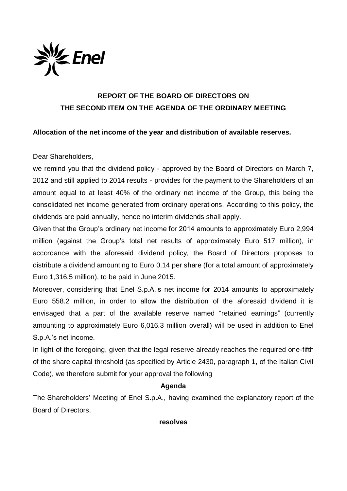

## **REPORT OF THE BOARD OF DIRECTORS ON THE SECOND ITEM ON THE AGENDA OF THE ORDINARY MEETING**

## **Allocation of the net income of the year and distribution of available reserves.**

Dear Shareholders,

we remind you that the dividend policy - approved by the Board of Directors on March 7, 2012 and still applied to 2014 results - provides for the payment to the Shareholders of an amount equal to at least 40% of the ordinary net income of the Group, this being the consolidated net income generated from ordinary operations. According to this policy, the dividends are paid annually, hence no interim dividends shall apply.

Given that the Group's ordinary net income for 2014 amounts to approximately Euro 2,994 million (against the Group's total net results of approximately Euro 517 million), in accordance with the aforesaid dividend policy, the Board of Directors proposes to distribute a dividend amounting to Euro 0.14 per share (for a total amount of approximately Euro 1,316.5 million), to be paid in June 2015.

Moreover, considering that Enel S.p.A.'s net income for 2014 amounts to approximately Euro 558.2 million, in order to allow the distribution of the aforesaid dividend it is envisaged that a part of the available reserve named "retained earnings" (currently amounting to approximately Euro 6,016.3 million overall) will be used in addition to Enel S.p.A.'s net income.

In light of the foregoing, given that the legal reserve already reaches the required one-fifth of the share capital threshold (as specified by Article 2430, paragraph 1, of the Italian Civil Code), we therefore submit for your approval the following

## **Agenda**

The Shareholders' Meeting of Enel S.p.A., having examined the explanatory report of the Board of Directors,

**resolves**